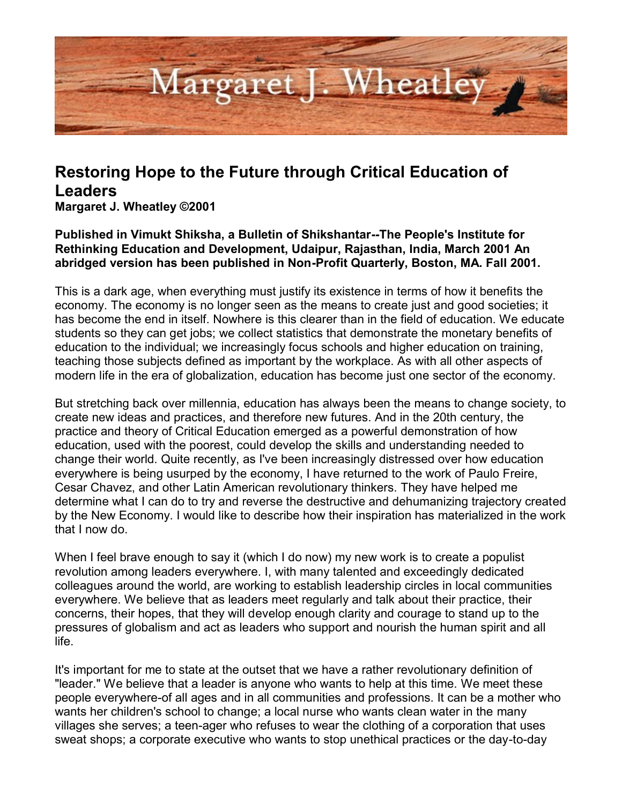

## **Restoring Hope to the Future through Critical Education of Leaders**

**Margaret J. Wheatley ©2001** 

**Published in Vimukt Shiksha, a Bulletin of Shikshantar--The People's Institute for Rethinking Education and Development, Udaipur, Rajasthan, India, March 2001 An abridged version has been published in Non-Profit Quarterly, Boston, MA. Fall 2001.** 

This is a dark age, when everything must justify its existence in terms of how it benefits the economy. The economy is no longer seen as the means to create just and good societies; it has become the end in itself. Nowhere is this clearer than in the field of education. We educate students so they can get jobs; we collect statistics that demonstrate the monetary benefits of education to the individual; we increasingly focus schools and higher education on training, teaching those subjects defined as important by the workplace. As with all other aspects of modern life in the era of globalization, education has become just one sector of the economy.

But stretching back over millennia, education has always been the means to change society, to create new ideas and practices, and therefore new futures. And in the 20th century, the practice and theory of Critical Education emerged as a powerful demonstration of how education, used with the poorest, could develop the skills and understanding needed to change their world. Quite recently, as I've been increasingly distressed over how education everywhere is being usurped by the economy, I have returned to the work of Paulo Freire, Cesar Chavez, and other Latin American revolutionary thinkers. They have helped me determine what I can do to try and reverse the destructive and dehumanizing trajectory created by the New Economy. I would like to describe how their inspiration has materialized in the work that I now do.

When I feel brave enough to say it (which I do now) my new work is to create a populist revolution among leaders everywhere. I, with many talented and exceedingly dedicated colleagues around the world, are working to establish leadership circles in local communities everywhere. We believe that as leaders meet regularly and talk about their practice, their concerns, their hopes, that they will develop enough clarity and courage to stand up to the pressures of globalism and act as leaders who support and nourish the human spirit and all life.

It's important for me to state at the outset that we have a rather revolutionary definition of "leader." We believe that a leader is anyone who wants to help at this time. We meet these people everywhere-of all ages and in all communities and professions. It can be a mother who wants her children's school to change; a local nurse who wants clean water in the many villages she serves; a teen-ager who refuses to wear the clothing of a corporation that uses sweat shops; a corporate executive who wants to stop unethical practices or the day-to-day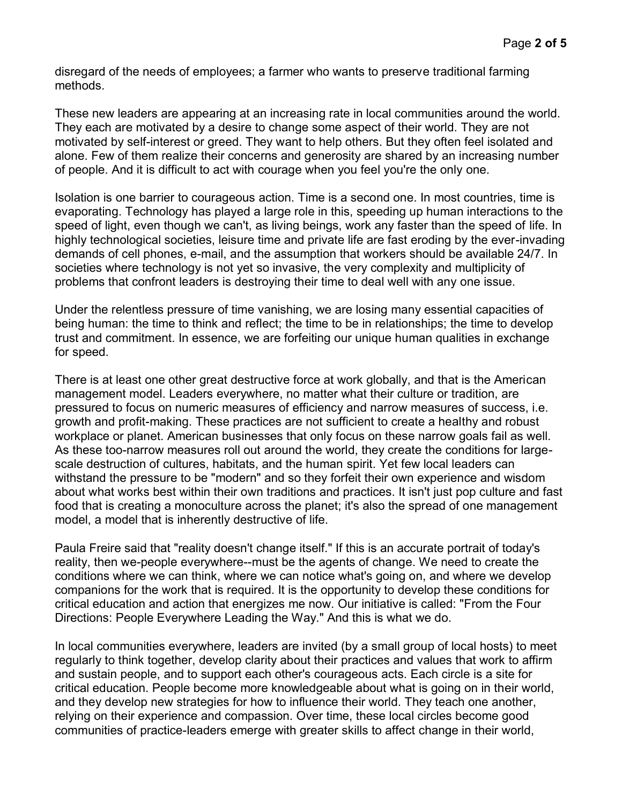disregard of the needs of employees; a farmer who wants to preserve traditional farming methods.

These new leaders are appearing at an increasing rate in local communities around the world. They each are motivated by a desire to change some aspect of their world. They are not motivated by self-interest or greed. They want to help others. But they often feel isolated and alone. Few of them realize their concerns and generosity are shared by an increasing number of people. And it is difficult to act with courage when you feel you're the only one.

Isolation is one barrier to courageous action. Time is a second one. In most countries, time is evaporating. Technology has played a large role in this, speeding up human interactions to the speed of light, even though we can't, as living beings, work any faster than the speed of life. In highly technological societies, leisure time and private life are fast eroding by the ever-invading demands of cell phones, e-mail, and the assumption that workers should be available 24/7. In societies where technology is not yet so invasive, the very complexity and multiplicity of problems that confront leaders is destroying their time to deal well with any one issue.

Under the relentless pressure of time vanishing, we are losing many essential capacities of being human: the time to think and reflect; the time to be in relationships; the time to develop trust and commitment. In essence, we are forfeiting our unique human qualities in exchange for speed.

There is at least one other great destructive force at work globally, and that is the American management model. Leaders everywhere, no matter what their culture or tradition, are pressured to focus on numeric measures of efficiency and narrow measures of success, i.e. growth and profit-making. These practices are not sufficient to create a healthy and robust workplace or planet. American businesses that only focus on these narrow goals fail as well. As these too-narrow measures roll out around the world, they create the conditions for largescale destruction of cultures, habitats, and the human spirit. Yet few local leaders can withstand the pressure to be "modern" and so they forfeit their own experience and wisdom about what works best within their own traditions and practices. It isn't just pop culture and fast food that is creating a monoculture across the planet; it's also the spread of one management model, a model that is inherently destructive of life.

Paula Freire said that "reality doesn't change itself." If this is an accurate portrait of today's reality, then we-people everywhere--must be the agents of change. We need to create the conditions where we can think, where we can notice what's going on, and where we develop companions for the work that is required. It is the opportunity to develop these conditions for critical education and action that energizes me now. Our initiative is called: "From the Four Directions: People Everywhere Leading the Way." And this is what we do.

In local communities everywhere, leaders are invited (by a small group of local hosts) to meet regularly to think together, develop clarity about their practices and values that work to affirm and sustain people, and to support each other's courageous acts. Each circle is a site for critical education. People become more knowledgeable about what is going on in their world, and they develop new strategies for how to influence their world. They teach one another, relying on their experience and compassion. Over time, these local circles become good communities of practice-leaders emerge with greater skills to affect change in their world,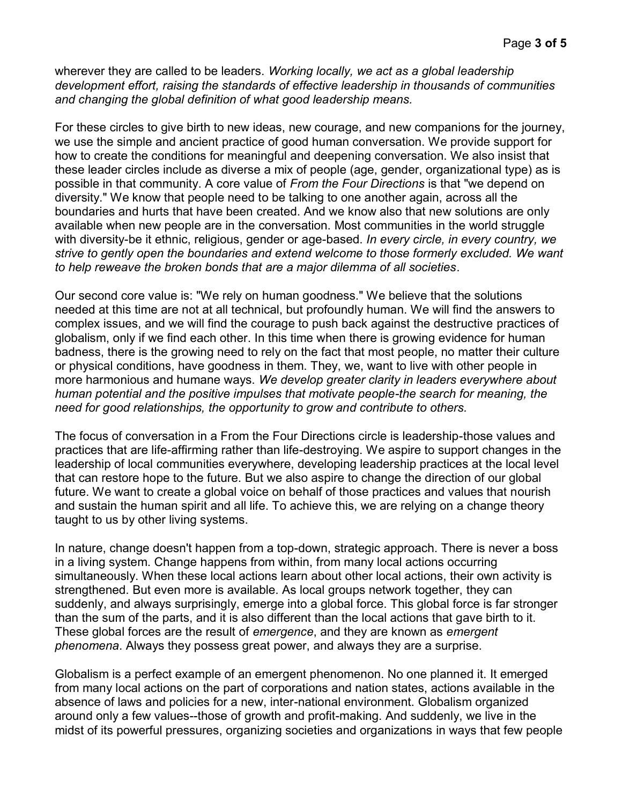wherever they are called to be leaders. *Working locally, we act as a global leadership development effort, raising the standards of effective leadership in thousands of communities and changing the global definition of what good leadership means.*

For these circles to give birth to new ideas, new courage, and new companions for the journey, we use the simple and ancient practice of good human conversation. We provide support for how to create the conditions for meaningful and deepening conversation. We also insist that these leader circles include as diverse a mix of people (age, gender, organizational type) as is possible in that community. A core value of *From the Four Directions* is that "we depend on diversity." We know that people need to be talking to one another again, across all the boundaries and hurts that have been created. And we know also that new solutions are only available when new people are in the conversation. Most communities in the world struggle with diversity-be it ethnic, religious, gender or age-based. *In every circle, in every country, we strive to gently open the boundaries and extend welcome to those formerly excluded. We want to help reweave the broken bonds that are a major dilemma of all societies*.

Our second core value is: "We rely on human goodness." We believe that the solutions needed at this time are not at all technical, but profoundly human. We will find the answers to complex issues, and we will find the courage to push back against the destructive practices of globalism, only if we find each other. In this time when there is growing evidence for human badness, there is the growing need to rely on the fact that most people, no matter their culture or physical conditions, have goodness in them. They, we, want to live with other people in more harmonious and humane ways. *We develop greater clarity in leaders everywhere about human potential and the positive impulses that motivate people-the search for meaning, the need for good relationships, the opportunity to grow and contribute to others.* 

The focus of conversation in a From the Four Directions circle is leadership-those values and practices that are life-affirming rather than life-destroying. We aspire to support changes in the leadership of local communities everywhere, developing leadership practices at the local level that can restore hope to the future. But we also aspire to change the direction of our global future. We want to create a global voice on behalf of those practices and values that nourish and sustain the human spirit and all life. To achieve this, we are relying on a change theory taught to us by other living systems.

In nature, change doesn't happen from a top-down, strategic approach. There is never a boss in a living system. Change happens from within, from many local actions occurring simultaneously. When these local actions learn about other local actions, their own activity is strengthened. But even more is available. As local groups network together, they can suddenly, and always surprisingly, emerge into a global force. This global force is far stronger than the sum of the parts, and it is also different than the local actions that gave birth to it. These global forces are the result of *emergence*, and they are known as *emergent phenomena*. Always they possess great power, and always they are a surprise.

Globalism is a perfect example of an emergent phenomenon. No one planned it. It emerged from many local actions on the part of corporations and nation states, actions available in the absence of laws and policies for a new, inter-national environment. Globalism organized around only a few values--those of growth and profit-making. And suddenly, we live in the midst of its powerful pressures, organizing societies and organizations in ways that few people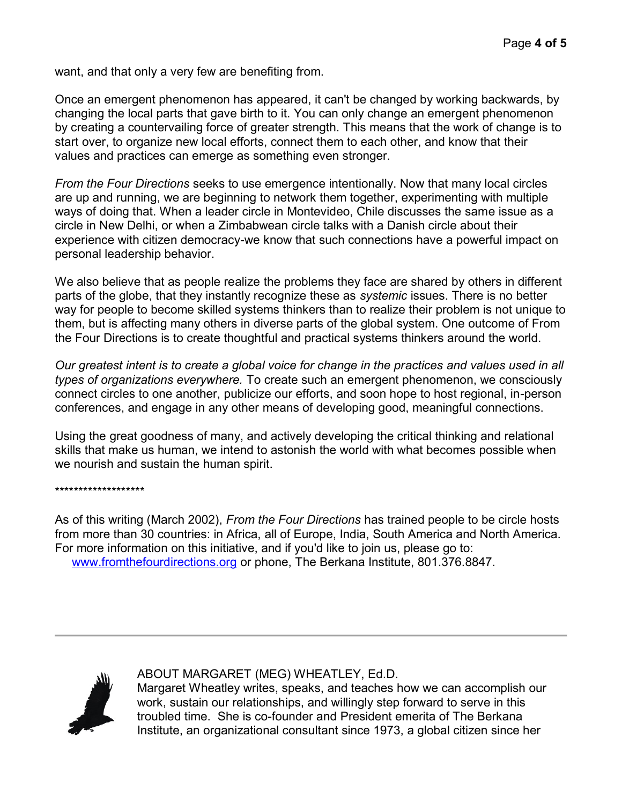want, and that only a very few are benefiting from.

Once an emergent phenomenon has appeared, it can't be changed by working backwards, by changing the local parts that gave birth to it. You can only change an emergent phenomenon by creating a countervailing force of greater strength. This means that the work of change is to start over, to organize new local efforts, connect them to each other, and know that their values and practices can emerge as something even stronger.

*From the Four Directions* seeks to use emergence intentionally. Now that many local circles are up and running, we are beginning to network them together, experimenting with multiple ways of doing that. When a leader circle in Montevideo, Chile discusses the same issue as a circle in New Delhi, or when a Zimbabwean circle talks with a Danish circle about their experience with citizen democracy-we know that such connections have a powerful impact on personal leadership behavior.

We also believe that as people realize the problems they face are shared by others in different parts of the globe, that they instantly recognize these as *systemic* issues. There is no better way for people to become skilled systems thinkers than to realize their problem is not unique to them, but is affecting many others in diverse parts of the global system. One outcome of From the Four Directions is to create thoughtful and practical systems thinkers around the world.

*Our greatest intent is to create a global voice for change in the practices and values used in all types of organizations everywhere.* To create such an emergent phenomenon, we consciously connect circles to one another, publicize our efforts, and soon hope to host regional, in-person conferences, and engage in any other means of developing good, meaningful connections.

Using the great goodness of many, and actively developing the critical thinking and relational skills that make us human, we intend to astonish the world with what becomes possible when we nourish and sustain the human spirit.

\*\*\*\*\*\*\*\*\*\*\*\*\*\*\*\*\*\*\*

As of this writing (March 2002), *From the Four Directions* has trained people to be circle hosts from more than 30 countries: in Africa, all of Europe, India, South America and North America. For more information on this initiative, and if you'd like to join us, please go to: [www.fromthefourdirections.org](http://www.fromthefourdirections.org/) or phone, The Berkana Institute, 801.376.8847.



ABOUT MARGARET (MEG) WHEATLEY, Ed.D.

Margaret Wheatley writes, speaks, and teaches how we can accomplish our work, sustain our relationships, and willingly step forward to serve in this troubled time. She is co-founder and President emerita of The Berkana Institute, an organizational consultant since 1973, a global citizen since her